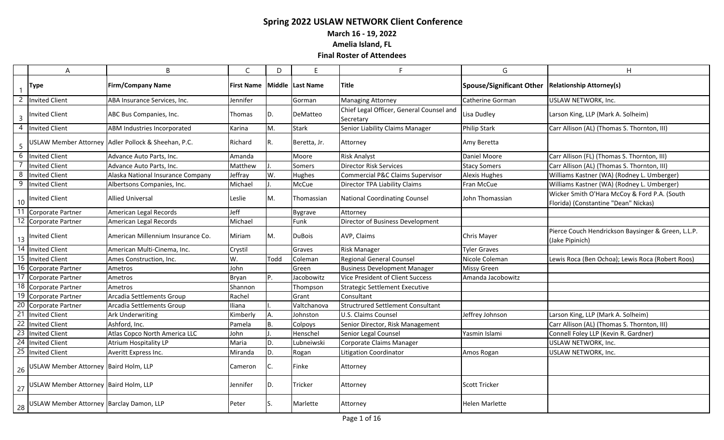**March 16 - 19, 2022**

**Amelia Island, FL**

|                | A                                           | B                                                   | $\mathsf{C}$      | D    | Е                | F                                                     | G                               | H                                                                                    |
|----------------|---------------------------------------------|-----------------------------------------------------|-------------------|------|------------------|-------------------------------------------------------|---------------------------------|--------------------------------------------------------------------------------------|
|                | <b>Type</b>                                 | <b>Firm/Company Name</b>                            | <b>First Name</b> |      | Middle Last Name | Title                                                 | <b>Spouse/Significant Other</b> | <b>Relationship Attorney(s)</b>                                                      |
| 2              | <b>Invited Client</b>                       | ABA Insurance Services, Inc.                        | Jennifer          |      | Gorman           | <b>Managing Attorney</b>                              | Catherine Gorman                | USLAW NETWORK, Inc.                                                                  |
| $\overline{3}$ | <b>Invited Client</b>                       | ABC Bus Companies, Inc.                             | Thomas            | D.   | DeMatteo         | Chief Legal Officer, General Counsel and<br>Secretary | Lisa Dudley                     | Larson King, LLP (Mark A. Solheim)                                                   |
| $\overline{4}$ | <b>Invited Client</b>                       | ABM Industries Incorporated                         | Karina            | М.   | <b>Stark</b>     | Senior Liability Claims Manager                       | <b>Philip Stark</b>             | Carr Allison (AL) (Thomas S. Thornton, III)                                          |
| 5              |                                             | USLAW Member Attorney Adler Pollock & Sheehan, P.C. | Richard           | R.   | Beretta, Jr.     | Attorney                                              | Amy Beretta                     |                                                                                      |
| $\overline{6}$ | Invited Client                              | Advance Auto Parts, Inc.                            | Amanda            |      | Moore            | <b>Risk Analyst</b>                                   | Daniel Moore                    | Carr Allison (FL) (Thomas S. Thornton, III)                                          |
|                | Invited Client                              | Advance Auto Parts, Inc.                            | Matthew           |      | Somers           | <b>Director Risk Services</b>                         | <b>Stacy Somers</b>             | Carr Allison (AL) (Thomas S. Thornton, III)                                          |
| 8              | Invited Client                              | Alaska National Insurance Company                   | Jeffray           | W.   | Hughes           | Commercial P&C Claims Supervisor                      | <b>Alexis Hughes</b>            | Williams Kastner (WA) (Rodney L. Umberger)                                           |
| 9              | Invited Client                              | Albertsons Companies, Inc.                          | Michael           |      | McCue            | Director TPA Liability Claims                         | Fran McCue                      | Williams Kastner (WA) (Rodney L. Umberger)                                           |
| $10$           | <b>Invited Client</b>                       | <b>Allied Universal</b>                             | Leslie            | M.   | Thomassian       | <b>National Coordinating Counsel</b>                  | John Thomassian                 | Wicker Smith O'Hara McCoy & Ford P.A. (South<br>Florida) (Constantine "Dean" Nickas) |
|                | Corporate Partner                           | American Legal Records                              | Jeff              |      | <b>Bygrave</b>   | Attorney                                              |                                 |                                                                                      |
|                | 12 Corporate Partner                        | American Legal Records                              | Michael           |      | Funk             | Director of Business Development                      |                                 |                                                                                      |
|                | 13   Invited Client                         | American Millennium Insurance Co.                   | Miriam            | M.   | <b>DuBois</b>    | AVP, Claims                                           | <b>Chris Mayer</b>              | Pierce Couch Hendrickson Baysinger & Green, L.L.P.<br>(Jake Pipinich)                |
|                | 14 Invited Client                           | American Multi-Cinema, Inc.                         | Crystil           |      | Graves           | <b>Risk Manager</b>                                   | <b>Tyler Graves</b>             |                                                                                      |
|                | $\overline{15}$ Invited Client              | Ames Construction, Inc.                             | W.                | Todd | Coleman          | Regional General Counsel                              | Nicole Coleman                  | Lewis Roca (Ben Ochoa); Lewis Roca (Robert Roos)                                     |
|                | 16 Corporate Partner                        | Ametros                                             | John              |      | Green            | <b>Business Development Manager</b>                   | <b>Missy Green</b>              |                                                                                      |
|                | Corporate Partner                           | Ametros                                             | <b>Bryan</b>      | P.   | Jacobowitz       | Vice President of Client Success                      | Amanda Jacobowitz               |                                                                                      |
|                | 18 Corporate Partner                        | Ametros                                             | Shannon           |      | Thompson         | <b>Strategic Settlement Executive</b>                 |                                 |                                                                                      |
|                | 19 Corporate Partner                        | Arcadia Settlements Group                           | Rachel            |      | Grant            | Consultant                                            |                                 |                                                                                      |
|                | 20 Corporate Partner                        | Arcadia Settlements Group                           | Iliana            |      | Valtchanova      | <b>Structrured Settlement Consultant</b>              |                                 |                                                                                      |
|                | 21 Invited Client                           | Ark Underwriting                                    | Kimberly          | Α.   | Johnston         | U.S. Claims Counsel                                   | Jeffrey Johnson                 | Larson King, LLP (Mark A. Solheim)                                                   |
|                | 22 Invited Client                           | Ashford, Inc.                                       | Pamela            | B.   | Colpoys          | Senior Director, Risk Management                      |                                 | Carr Allison (AL) (Thomas S. Thornton, III)                                          |
|                | 23 Invited Client                           | Atlas Copco North America LLC                       | John              |      | Henschel         | Senior Legal Counsel                                  | Yasmin Islami                   | Connell Foley LLP (Kevin R. Gardner)                                                 |
|                | 24 Invited Client                           | Atrium Hospitality LP                               | Maria             | D.   | Lubneiwski       | Corporate Claims Manager                              |                                 | USLAW NETWORK, Inc.                                                                  |
|                | 25 Invited Client                           | Averitt Express Inc.                                | Miranda           | D.   | Rogan            | <b>Litigation Coordinator</b>                         | Amos Rogan                      | USLAW NETWORK, Inc.                                                                  |
|                | 26 USLAW Member Attorney Baird Holm, LLP    |                                                     | Cameron           | IC.  | Finke            | Attorney                                              |                                 |                                                                                      |
|                | 27 USLAW Member Attorney Baird Holm, LLP    |                                                     | Jennifer          | D.   | Tricker          | Attorney                                              | <b>Scott Tricker</b>            |                                                                                      |
|                | 28 USLAW Member Attorney Barclay Damon, LLP |                                                     | Peter             | lS.  | Marlette         | Attorney                                              | <b>Helen Marlette</b>           |                                                                                      |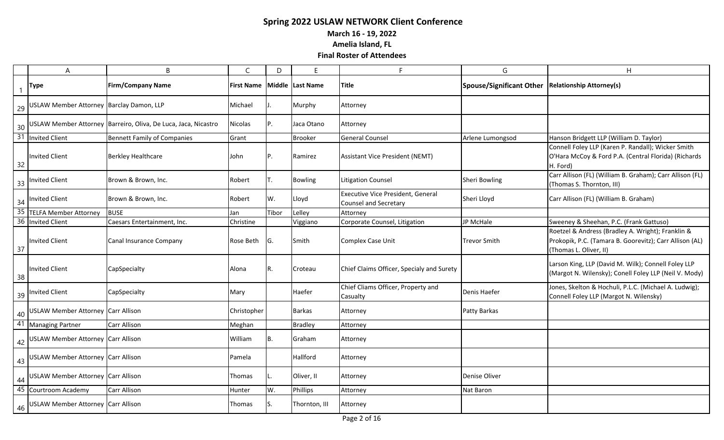**March 16 - 19, 2022**

**Amelia Island, FL**

|    | $\boldsymbol{\mathsf{A}}$                   | B                                                                 | $\mathsf{C}$      | D     | E                | F                                                                 | G                                                   | H                                                                                                                                      |
|----|---------------------------------------------|-------------------------------------------------------------------|-------------------|-------|------------------|-------------------------------------------------------------------|-----------------------------------------------------|----------------------------------------------------------------------------------------------------------------------------------------|
|    | <b>Type</b>                                 | <b>Firm/Company Name</b>                                          | <b>First Name</b> |       | Middle Last Name | <b>Title</b>                                                      | Spouse/Significant Other   Relationship Attorney(s) |                                                                                                                                        |
|    | 29 USLAW Member Attorney Barclay Damon, LLP |                                                                   | Michael           |       | Murphy           | Attorney                                                          |                                                     |                                                                                                                                        |
|    |                                             | 30 USLAW Member Attorney Barreiro, Oliva, De Luca, Jaca, Nicastro | <b>Nicolas</b>    | P.    | Jaca Otano       | Attorney                                                          |                                                     |                                                                                                                                        |
|    | 31 Invited Client                           | <b>Bennett Family of Companies</b>                                | Grant             |       | <b>Brooker</b>   | <b>General Counsel</b>                                            | Arlene Lumongsod                                    | Hanson Bridgett LLP (William D. Taylor)                                                                                                |
| 32 | <b>Invited Client</b>                       | <b>Berkley Healthcare</b>                                         | John              | IP.   | Ramirez          | <b>Assistant Vice President (NEMT)</b>                            |                                                     | Connell Foley LLP (Karen P. Randall); Wicker Smith<br>O'Hara McCoy & Ford P.A. (Central Florida) (Richards<br>H. Ford)                 |
|    | 33 Invited Client                           | Brown & Brown, Inc.                                               | Robert            | IT.   | <b>Bowling</b>   | <b>Litigation Counsel</b>                                         | Sheri Bowling                                       | Carr Allison (FL) (William B. Graham); Carr Allison (FL)<br>(Thomas S. Thornton, III)                                                  |
|    | 34 Invited Client                           | Brown & Brown, Inc.                                               | Robert            | W.    | Lloyd            | Executive Vice President, General<br><b>Counsel and Secretary</b> | Sheri Lloyd                                         | Carr Allison (FL) (William B. Graham)                                                                                                  |
|    | 35 TELFA Member Attorney                    | <b>BUSE</b>                                                       | Jan               | Tibor | Lelley           | Attorney                                                          |                                                     |                                                                                                                                        |
|    | 36 Invited Client                           | Caesars Entertainment, Inc.                                       | Christine         |       | Viggiano         | Corporate Counsel, Litigation                                     | JP McHale                                           | Sweeney & Sheehan, P.C. (Frank Gattuso)                                                                                                |
| 37 | <b>Invited Client</b>                       | Canal Insurance Company                                           | Rose Beth         | IG.   | Smith            | Complex Case Unit                                                 | Trevor Smith                                        | Roetzel & Andress (Bradley A. Wright); Franklin &<br>Prokopik, P.C. (Tamara B. Goorevitz); Carr Allison (AL)<br>(Thomas L. Oliver, II) |
| 38 | <b>Invited Client</b>                       | CapSpecialty                                                      | Alona             | R.    | Croteau          | Chief Claims Officer, Specialy and Surety                         |                                                     | Larson King, LLP (David M. Wilk); Connell Foley LLP<br>(Margot N. Wilensky); Conell Foley LLP (Neil V. Mody)                           |
|    | 39 Invited Client                           | CapSpecialty                                                      | Mary              |       | Haefer           | Chief Cliams Officer, Property and<br>Casualty                    | Denis Haefer                                        | Jones, Skelton & Hochuli, P.L.C. (Michael A. Ludwig);<br>Connell Foley LLP (Margot N. Wilensky)                                        |
|    | 40 USLAW Member Attorney Carr Allison       |                                                                   | Christopher       |       | <b>Barkas</b>    | Attorney                                                          | Patty Barkas                                        |                                                                                                                                        |
|    | 41 Managing Partner                         | <b>Carr Allison</b>                                               | Meghan            |       | <b>Bradley</b>   | Attorney                                                          |                                                     |                                                                                                                                        |
|    | 42 USLAW Member Attorney Carr Allison       |                                                                   | William           | IB.   | Graham           | Attorney                                                          |                                                     |                                                                                                                                        |
|    | 43 USLAW Member Attorney Carr Allison       |                                                                   | Pamela            |       | Hallford         | Attorney                                                          |                                                     |                                                                                                                                        |
|    | 44 USLAW Member Attorney Carr Allison       |                                                                   | Thomas            | IL.   | Oliver, II       | Attorney                                                          | Denise Oliver                                       |                                                                                                                                        |
|    | 45 Courtroom Academy                        | <b>Carr Allison</b>                                               | Hunter            | W.    | Phillips         | Attorney                                                          | Nat Baron                                           |                                                                                                                                        |
|    | 46 USLAW Member Attorney Carr Allison       |                                                                   | Thomas            | IS.   | Thornton, III    | Attorney                                                          |                                                     |                                                                                                                                        |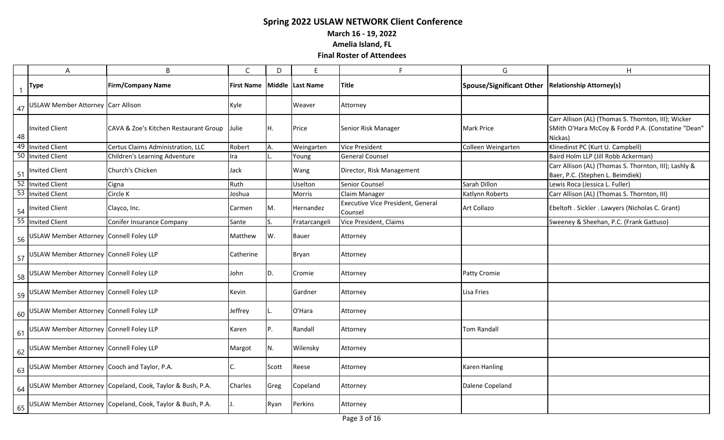**March 16 - 19, 2022**

**Amelia Island, FL**

|    | $\boldsymbol{\mathsf{A}}$                       | B                                                            | $\mathsf C$       | D     | E                | F                                            | G                                                   | H                                                                                                                    |
|----|-------------------------------------------------|--------------------------------------------------------------|-------------------|-------|------------------|----------------------------------------------|-----------------------------------------------------|----------------------------------------------------------------------------------------------------------------------|
|    | <b>Type</b>                                     | <b>Firm/Company Name</b>                                     | <b>First Name</b> |       | Middle Last Name | <b>Title</b>                                 | Spouse/Significant Other   Relationship Attorney(s) |                                                                                                                      |
|    | 47 USLAW Member Attorney Carr Allison           |                                                              | Kyle              |       | Weaver           | Attorney                                     |                                                     |                                                                                                                      |
| 48 | Invited Client                                  | CAVA & Zoe's Kitchen Restaurant Group                        | Julie             | IH.   | Price            | Senior Risk Manager                          | Mark Price                                          | Carr Allison (AL) (Thomas S. Thornton, III); Wicker<br>SMith O'Hara McCoy & Fordd P.A. (Constatine "Dean"<br>Nickas) |
|    | 49 Invited Client                               | Certus Claims Administration, LLC                            | Robert            | Α.    | Weingarten       | <b>Vice President</b>                        | Colleen Weingarten                                  | Klinedinst PC (Kurt U. Campbell)                                                                                     |
|    | 50 Invited Client                               | Children's Learning Adventure                                | Ira               |       | Young            | <b>General Counsel</b>                       |                                                     | Baird Holm LLP (Jill Robb Ackerman)                                                                                  |
|    | 51 Invited Client                               | Church's Chicken                                             | Jack              |       | Wang             | Director, Risk Management                    |                                                     | Carr Allison (AL) (Thomas S. Thornton, III); Lashly &<br>Baer, P.C. (Stephen L. Beimdiek)                            |
|    | 52 Invited Client                               | Cigna                                                        | Ruth              |       | Uselton          | Senior Counsel                               | Sarah Dillon                                        | Lewis Roca (Jessica L. Fuller)                                                                                       |
|    | 53 Invited Client                               | Circle K                                                     | Joshua            |       | Morris           | Claim Manager                                | Katlynn Roberts                                     | Carr Allison (AL) (Thomas S. Thornton, III)                                                                          |
|    | 54 Invited Client                               | Clayco, Inc.                                                 | Carmen            | M.    | Hernandez        | Executive Vice President, General<br>Counsel | Art Collazo                                         | Ebeltoft . Sickler . Lawyers (Nicholas C. Grant)                                                                     |
|    | 55 Invited Client                               | Conifer Insurance Company                                    | Sante             | S.    | Fratarcangeli    | Vice President, Claims                       |                                                     | Sweeney & Sheehan, P.C. (Frank Gattuso)                                                                              |
|    | 56 USLAW Member Attorney Connell Foley LLP      |                                                              | Matthew           | W.    | <b>Bauer</b>     | Attorney                                     |                                                     |                                                                                                                      |
|    | 57 USLAW Member Attorney Connell Foley LLP      |                                                              | Catherine         |       | Bryan            | Attorney                                     |                                                     |                                                                                                                      |
|    | 58 USLAW Member Attorney Connell Foley LLP      |                                                              | John              | D.    | Cromie           | Attorney                                     | Patty Cromie                                        |                                                                                                                      |
|    | 59 USLAW Member Attorney Connell Foley LLP      |                                                              | Kevin             |       | Gardner          | Attorney                                     | Lisa Fries                                          |                                                                                                                      |
|    | 60 USLAW Member Attorney Connell Foley LLP      |                                                              | Jeffrey           | IL.   | O'Hara           | Attorney                                     |                                                     |                                                                                                                      |
|    | 61 USLAW Member Attorney Connell Foley LLP      |                                                              | Karen             | P.    | Randall          | Attorney                                     | <b>Tom Randall</b>                                  |                                                                                                                      |
|    | 62 USLAW Member Attorney Connell Foley LLP      |                                                              | Margot            | N.    | Wilensky         | Attorney                                     |                                                     |                                                                                                                      |
|    | 63 USLAW Member Attorney Cooch and Taylor, P.A. |                                                              | C.                | Scott | Reese            | Attorney                                     | <b>Karen Hanling</b>                                |                                                                                                                      |
|    |                                                 | 64 USLAW Member Attorney Copeland, Cook, Taylor & Bush, P.A. | Charles           | Greg  | Copeland         | Attorney                                     | Dalene Copeland                                     |                                                                                                                      |
|    |                                                 | 65 USLAW Member Attorney Copeland, Cook, Taylor & Bush, P.A. | $J_{+}$           | Ryan  | Perkins          | Attorney                                     |                                                     |                                                                                                                      |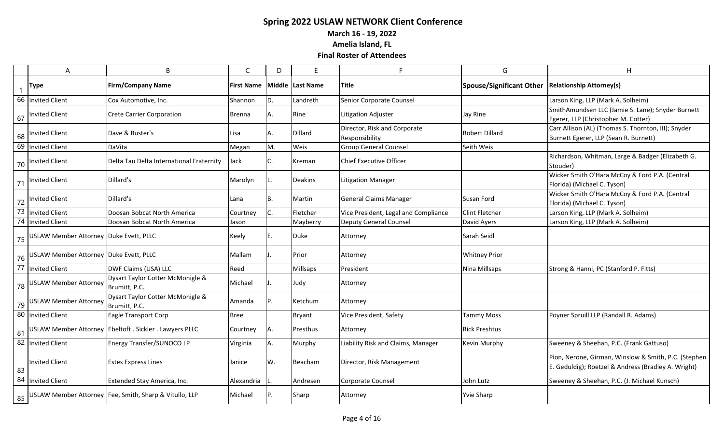**March 16 - 19, 2022**

**Amelia Island, FL**

|    | A                                      | B                                                        | C             | D   | E                |                                                | G                                                   | H                                                                                                           |
|----|----------------------------------------|----------------------------------------------------------|---------------|-----|------------------|------------------------------------------------|-----------------------------------------------------|-------------------------------------------------------------------------------------------------------------|
|    | <b>Type</b>                            | <b>Firm/Company Name</b>                                 | First Name    |     | Middle Last Name | Title                                          | Spouse/Significant Other   Relationship Attorney(s) |                                                                                                             |
|    | 66 Invited Client                      | Cox Automotive, Inc.                                     | Shannon       | D.  | Landreth         | Senior Corporate Counsel                       |                                                     | Larson King, LLP (Mark A. Solheim)                                                                          |
| 67 | <b>Invited Client</b>                  | <b>Crete Carrier Corporation</b>                         | <b>Brenna</b> | Α.  | Rine             | Litigation Adjuster                            | Jay Rine                                            | SmithAmundsen LLC (Jamie S. Lane); Snyder Burnett<br>Egerer, LLP (Christopher M. Cotter)                    |
| 68 | <b>Invited Client</b>                  | Dave & Buster's                                          | Lisa          | А.  | Dillard          | Director, Risk and Corporate<br>Responsibility | Robert Dillard                                      | Carr Allison (AL) (Thomas S. Thornton, III); Snyder<br>Burnett Egerer, LLP (Sean R. Burnett)                |
| 69 | Invited Client                         | DaVita                                                   | Megan         | M.  | Weis             | <b>Group General Counsel</b>                   | Seith Weis                                          |                                                                                                             |
| 70 | <b>Invited Client</b>                  | Delta Tau Delta International Fraternity                 | Jack          | C.  | Kreman           | Chief Executive Officer                        |                                                     | Richardson, Whitman, Large & Badger (Elizabeth G.<br>Stouder)                                               |
| 71 | <b>Invited Client</b>                  | Dillard's                                                | Marolyn       |     | Deakins          | <b>Litigation Manager</b>                      |                                                     | Wicker Smith O'Hara McCoy & Ford P.A. (Central<br>Florida) (Michael C. Tyson)                               |
| 72 | Invited Client                         | Dillard's                                                | Lana          | B.  | Martin           | <b>General Claims Manager</b>                  | Susan Ford                                          | Wicker Smith O'Hara McCoy & Ford P.A. (Central<br>Florida) (Michael C. Tyson)                               |
| 73 | <b>Invited Client</b>                  | Doosan Bobcat North America                              | Courtney      |     | Fletcher         | Vice President, Legal and Compliance           | <b>Clint Fletcher</b>                               | Larson King, LLP (Mark A. Solheim)                                                                          |
|    | 74 Invited Client                      | Doosan Bobcat North America                              | Jason         |     | Mayberry         | <b>Deputy General Counsel</b>                  | David Ayers                                         | Larson King, LLP (Mark A. Solheim)                                                                          |
| 75 | USLAW Member Attorney Duke Evett, PLLC |                                                          | Keely         | E.  | Duke             | Attorney                                       | Sarah Seidl                                         |                                                                                                             |
| 76 | USLAW Member Attorney Duke Evett, PLLC |                                                          | Mallam        |     | Prior            | Attorney                                       | <b>Whitney Prior</b>                                |                                                                                                             |
|    | 77 Invited Client                      | DWF Claims (USA) LLC                                     | Reed          |     | Millsaps         | President                                      | Nina Millsaps                                       | Strong & Hanni, PC (Stanford P. Fitts)                                                                      |
| 78 | <b>USLAW Member Attorney</b>           | Dysart Taylor Cotter McMonigle &<br>Brumitt, P.C.        | Michael       |     | Judy             | Attorney                                       |                                                     |                                                                                                             |
| 79 | <b>USLAW Member Attorney</b>           | Dysart Taylor Cotter McMonigle &<br>Brumitt, P.C.        | Amanda        | P.  | Ketchum          | Attorney                                       |                                                     |                                                                                                             |
| 80 | Invited Client                         | <b>Eagle Transport Corp</b>                              | <b>Bree</b>   |     | <b>Bryant</b>    | Vice President, Safety                         | <b>Tammy Moss</b>                                   | Poyner Spruill LLP (Randall R. Adams)                                                                       |
| 81 |                                        | USLAW Member Attorney Ebeltoft . Sickler . Lawyers PLLC  | Courtney      | А.  | Presthus         | Attorney                                       | <b>Rick Preshtus</b>                                |                                                                                                             |
|    | 82 Invited Client                      | Energy Transfer/SUNOCO LP                                | Virginia      | А.  | Murphy           | Liability Risk and Claims, Manager             | Kevin Murphy                                        | Sweeney & Sheehan, P.C. (Frank Gattuso)                                                                     |
| 83 | <b>Invited Client</b>                  | <b>Estes Express Lines</b>                               | Janice        | W.  | <b>Beacham</b>   | Director, Risk Management                      |                                                     | Pion, Nerone, Girman, Winslow & Smith, P.C. (Stephen<br>E. Geduldig); Roetzel & Andress (Bradley A. Wright) |
|    | 84 Invited Client                      | Extended Stay America, Inc.                              | Alexandria    |     | Andresen         | Corporate Counsel                              | John Lutz                                           | Sweeney & Sheehan, P.C. (J. Michael Kunsch)                                                                 |
| 85 |                                        | USLAW Member Attorney   Fee, Smith, Sharp & Vitullo, LLP | Michael       | IP. | Sharp            | Attorney                                       | <b>Yvie Sharp</b>                                   |                                                                                                             |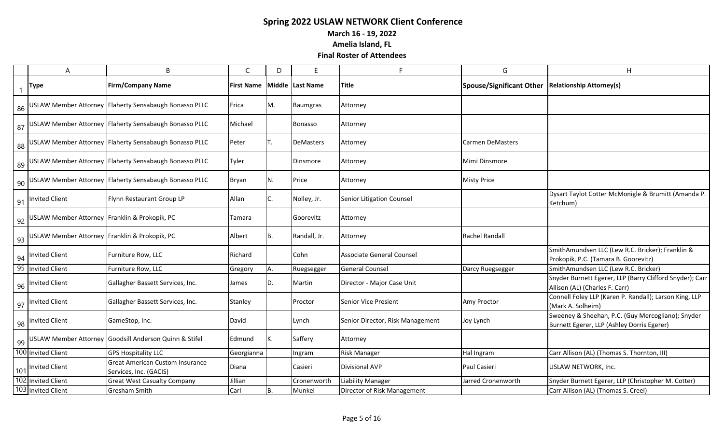**March 16 - 19, 2022**

**Amelia Island, FL**

|    | A                                                | B                                                                | C                 | D  | E                | E                                | G                               | H                                                                                               |
|----|--------------------------------------------------|------------------------------------------------------------------|-------------------|----|------------------|----------------------------------|---------------------------------|-------------------------------------------------------------------------------------------------|
|    | <b>Type</b>                                      | <b>Firm/Company Name</b>                                         | <b>First Name</b> |    | Middle Last Name | <b>Title</b>                     | <b>Spouse/Significant Other</b> | <b>Relationship Attorney(s)</b>                                                                 |
|    |                                                  | 86 USLAW Member Attorney Flaherty Sensabaugh Bonasso PLLC        | Erica             | M. | <b>Baumgras</b>  | Attorney                         |                                 |                                                                                                 |
|    |                                                  | 87 USLAW Member Attorney Flaherty Sensabaugh Bonasso PLLC        | Michael           |    | <b>Bonasso</b>   | Attorney                         |                                 |                                                                                                 |
|    |                                                  | 88 USLAW Member Attorney Flaherty Sensabaugh Bonasso PLLC        | Peter             | Т. | <b>DeMasters</b> | Attorney                         | <b>Carmen DeMasters</b>         |                                                                                                 |
|    |                                                  | 89 USLAW Member Attorney Flaherty Sensabaugh Bonasso PLLC        | Tyler             |    | Dinsmore         | Attorney                         | Mimi Dinsmore                   |                                                                                                 |
| 90 |                                                  | USLAW Member Attorney   Flaherty Sensabaugh Bonasso PLLC         | <b>Bryan</b>      | N. | <b>Price</b>     | Attorney                         | <b>Misty Price</b>              |                                                                                                 |
| 91 | <b>Invited Client</b>                            | Flynn Restaurant Group LP                                        | Allan             | C. | Nolley, Jr.      | Senior Litigation Counsel        |                                 | Dysart Taylot Cotter McMonigle & Brumitt (Amanda P.<br>Ketchum)                                 |
|    | 92 USLAW Member Attorney Franklin & Prokopik, PC |                                                                  | Tamara            |    | Goorevitz        | Attorney                         |                                 |                                                                                                 |
|    | 93 USLAW Member Attorney Franklin & Prokopik, PC |                                                                  | Albert            | B. | Randall, Jr.     | Attorney                         | <b>Rachel Randall</b>           |                                                                                                 |
|    | $\frac{94}{ }$   Invited Client                  | Furniture Row, LLC                                               | Richard           |    | Cohn             | <b>Associate General Counsel</b> |                                 | SmithAmundsen LLC (Lew R.C. Bricker); Franklin &<br>Prokopik, P.C. (Tamara B. Goorevitz)        |
|    | 95 Invited Client                                | Furniture Row, LLC                                               | Gregory           | А. | Ruegsegger       | <b>General Counsel</b>           | Darcy Ruegsegger                | SmithAmundsen LLC (Lew R.C. Bricker)                                                            |
|    | 96 Invited Client                                | Gallagher Bassett Services, Inc.                                 | James             | D. | Martin           | Director - Major Case Unit       |                                 | Snyder Burnett Egerer, LLP (Barry Clifford Snyder); Carr<br>Allison (AL) (Charles F. Carr)      |
|    | 97 Invited Client                                | Gallagher Bassett Services, Inc.                                 | Stanley           |    | Proctor          | <b>Senior Vice Presient</b>      | Amy Proctor                     | Connell Foley LLP (Karen P. Randall); Larson King, LLP<br>(Mark A. Solheim)                     |
|    | 98 Invited Client                                | GameStop, Inc.                                                   | David             |    | Lynch            | Senior Director, Risk Management | Joy Lynch                       | Sweeney & Sheehan, P.C. (Guy Mercogliano); Snyder<br>Burnett Egerer, LLP (Ashley Dorris Egerer) |
|    |                                                  | 99 USLAW Member Attorney Goodsill Anderson Quinn & Stifel        | Edmund            | K. | Saffery          | Attorney                         |                                 |                                                                                                 |
|    | 100 Invited Client                               | <b>GPS Hospitality LLC</b>                                       | Georgianna        |    | Ingram           | Risk Manager                     | Hal Ingram                      | Carr Allison (AL) (Thomas S. Thornton, III)                                                     |
|    | 101 Invited Client                               | <b>Great American Custom Insurance</b><br>Services, Inc. (GACIS) | Diana             |    | Casieri          | <b>Divisional AVP</b>            | Paul Casieri                    | USLAW NETWORK, Inc.                                                                             |
|    | 102 Invited Client                               | <b>Great West Casualty Company</b>                               | Jillian           |    | Cronenworth      | <b>Liability Manager</b>         | Jarred Cronenworth              | Snyder Burnett Egerer, LLP (Christopher M. Cotter)                                              |
|    | 103 Invited Client                               | <b>Gresham Smith</b>                                             | Carl              | B. | Munkel           | Director of Risk Management      |                                 | Carr Allison (AL) (Thomas S. Creel)                                                             |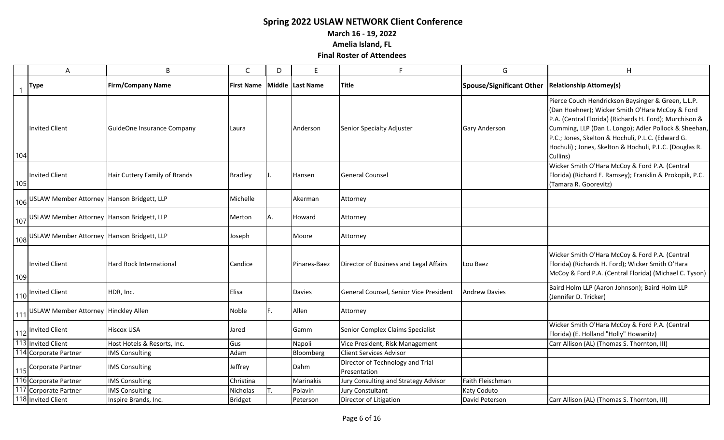**March 16 - 19, 2022**

**Amelia Island, FL**

|     | A                                                | B                             | $\mathsf{C}$      | D  | E                | F                                                | G                        | $\overline{H}$                                                                                                                                                                                                                                                                                                                                       |
|-----|--------------------------------------------------|-------------------------------|-------------------|----|------------------|--------------------------------------------------|--------------------------|------------------------------------------------------------------------------------------------------------------------------------------------------------------------------------------------------------------------------------------------------------------------------------------------------------------------------------------------------|
|     | Type                                             | <b>Firm/Company Name</b>      | <b>First Name</b> |    | Middle Last Name | <b>Title</b>                                     | Spouse/Significant Other | <b>Relationship Attorney(s)</b>                                                                                                                                                                                                                                                                                                                      |
| 104 | <b>Invited Client</b>                            | GuideOne Insurance Company    | Laura             |    | Anderson         | Senior Specialty Adjuster                        | <b>Gary Anderson</b>     | Pierce Couch Hendrickson Baysinger & Green, L.L.P.<br>(Dan Hoehner); Wicker Smith O'Hara McCoy & Ford<br>P.A. (Central Florida) (Richards H. Ford); Murchison &<br>Cumming, LLP (Dan L. Longo); Adler Pollock & Sheehan,<br>P.C.; Jones, Skelton & Hochuli, P.L.C. (Edward G.<br>Hochuli) ; Jones, Skelton & Hochuli, P.L.C. (Douglas R.<br>Cullins) |
| 105 | <b>Invited Client</b>                            | Hair Cuttery Family of Brands | <b>Bradley</b>    |    | Hansen           | <b>General Counsel</b>                           |                          | Wicker Smith O'Hara McCoy & Ford P.A. (Central<br>Florida) (Richard E. Ramsey); Franklin & Prokopik, P.C.<br>(Tamara R. Goorevitz)                                                                                                                                                                                                                   |
|     | 106 USLAW Member Attorney   Hanson Bridgett, LLP |                               | Michelle          |    | Akerman          | Attorney                                         |                          |                                                                                                                                                                                                                                                                                                                                                      |
|     | 107 USLAW Member Attorney Hanson Bridgett, LLP   |                               | Merton            | Α. | Howard           | Attorney                                         |                          |                                                                                                                                                                                                                                                                                                                                                      |
|     | 108 USLAW Member Attorney   Hanson Bridgett, LLP |                               | Joseph            |    | Moore            | Attorney                                         |                          |                                                                                                                                                                                                                                                                                                                                                      |
| 109 | <b>Invited Client</b>                            | Hard Rock International       | Candice           |    | Pinares-Baez     | Director of Business and Legal Affairs           | Lou Baez                 | Wicker Smith O'Hara McCoy & Ford P.A. (Central<br>Florida) (Richards H. Ford); Wicker Smith O'Hara<br>McCoy & Ford P.A. (Central Florida) (Michael C. Tyson)                                                                                                                                                                                         |
|     | 110 Invited Client                               | HDR, Inc.                     | Elisa             |    | <b>Davies</b>    | General Counsel, Senior Vice President           | <b>Andrew Davies</b>     | Baird Holm LLP (Aaron Johnson); Baird Holm LLP<br>(Jennifer D. Tricker)                                                                                                                                                                                                                                                                              |
| 111 | USLAW Member Attorney Hinckley Allen             |                               | Noble             | F. | Allen            | Attorney                                         |                          |                                                                                                                                                                                                                                                                                                                                                      |
|     | 112 Invited Client                               | <b>Hiscox USA</b>             | Jared             |    | Gamm             | Senior Complex Claims Specialist                 |                          | Wicker Smith O'Hara McCoy & Ford P.A. (Central<br>Florida) (E. Holland "Holly" Howanitz)                                                                                                                                                                                                                                                             |
|     | 113 Invited Client                               | Host Hotels & Resorts, Inc.   | Gus               |    | Napoli           | Vice President, Risk Management                  |                          | Carr Allison (AL) (Thomas S. Thornton, III)                                                                                                                                                                                                                                                                                                          |
|     | 114 Corporate Partner                            | <b>IMS Consulting</b>         | Adam              |    | Bloomberg        | <b>Client Services Advisor</b>                   |                          |                                                                                                                                                                                                                                                                                                                                                      |
|     | 115 Corporate Partner                            | <b>IMS Consulting</b>         | Jeffrey           |    | Dahm             | Director of Technology and Trial<br>Presentation |                          |                                                                                                                                                                                                                                                                                                                                                      |
|     | 116 Corporate Partner                            | <b>IMS Consulting</b>         | Christina         |    | Marinakis        | Jury Consulting and Strategy Advisor             | Faith Fleischman         |                                                                                                                                                                                                                                                                                                                                                      |
|     | 117 Corporate Partner                            | <b>IMS Consulting</b>         | Nicholas          |    | Polavin          | <b>Jury Constultant</b>                          | Katy Coduto              |                                                                                                                                                                                                                                                                                                                                                      |
|     | 118 Invited Client                               | Inspire Brands, Inc.          | <b>Bridget</b>    |    | Peterson         | Director of Litigation                           | David Peterson           | Carr Allison (AL) (Thomas S. Thornton, III)                                                                                                                                                                                                                                                                                                          |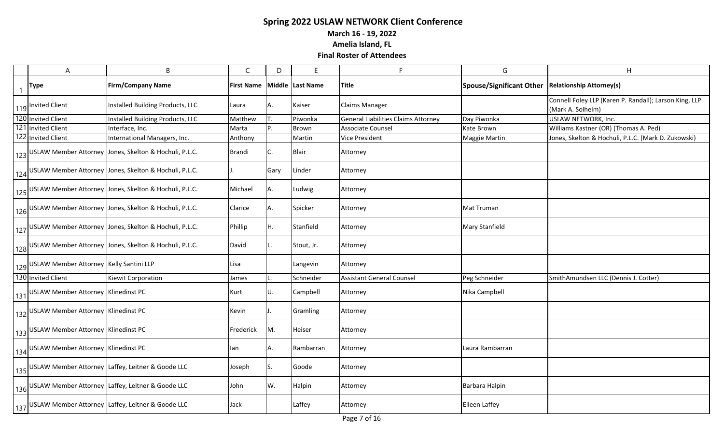**March 16 - 19, 2022**

**Amelia Island, FL**

| A                                           | B                                                          | $\mathsf{C}$      | D    | E                 | F.                                  | G                               | H                                                                           |
|---------------------------------------------|------------------------------------------------------------|-------------------|------|-------------------|-------------------------------------|---------------------------------|-----------------------------------------------------------------------------|
| <b>Type</b>                                 | <b>Firm/Company Name</b>                                   | <b>First Name</b> |      | Middle lLast Name | Title                               | <b>Spouse/Significant Other</b> | <b>Relationship Attorney(s)</b>                                             |
| 119 Invited Client                          | Installed Building Products, LLC                           | Laura             | Α.   | Kaiser            | <b>Claims Manager</b>               |                                 | Connell Foley LLP (Karen P. Randall); Larson King, LLP<br>(Mark A. Solheim) |
| 120 Invited Client                          | Installed Building Products, LLC                           | Matthew           |      | Piwonka           | General Liabilities Claims Attorney | Day Piwonka                     | USLAW NETWORK, Inc.                                                         |
| 121 Invited Client                          | Interface, Inc.                                            | Marta             | P.   | Brown             | <b>Associate Counsel</b>            | <b>Kate Brown</b>               | Williams Kastner (OR) (Thomas A. Ped)                                       |
| 122 Invited Client                          | International Managers, Inc.                               | Anthony           |      | Martin            | <b>Vice President</b>               | Maggie Martin                   | Jones, Skelton & Hochuli, P.L.C. (Mark D. Zukowski)                         |
|                                             | 123 USLAW Member Attorney Jones, Skelton & Hochuli, P.L.C. | <b>Brandi</b>     | С.   | <b>Blair</b>      | Attorney                            |                                 |                                                                             |
|                                             | 124 USLAW Member Attorney Jones, Skelton & Hochuli, P.L.C. |                   | Gary | Linder            | Attorney                            |                                 |                                                                             |
|                                             | 125 USLAW Member Attorney Jones, Skelton & Hochuli, P.L.C. | Michael           | А.   | Ludwig            | Attorney                            |                                 |                                                                             |
|                                             | 126 USLAW Member Attorney Jones, Skelton & Hochuli, P.L.C. | Clarice           | Α.   | Spicker           | Attorney                            | Mat Truman                      |                                                                             |
|                                             | 127 USLAW Member Attorney Jones, Skelton & Hochuli, P.L.C. | Phillip           | Н.   | Stanfield         | Attorney                            | <b>Mary Stanfield</b>           |                                                                             |
|                                             | 128 USLAW Member Attorney Jones, Skelton & Hochuli, P.L.C. | David             |      | Stout, Jr.        | Attorney                            |                                 |                                                                             |
| 129 USLAW Member Attorney Kelly Santini LLP |                                                            | Lisa              |      | Langevin          | Attorney                            |                                 |                                                                             |
| 130 Invited Client                          | Kiewit Corporation                                         | James             |      | Schneider         | <b>Assistant General Counsel</b>    | Peg Schneider                   | SmithAmundsen LLC (Dennis J. Cotter)                                        |
| 131 USLAW Member Attorney Klinedinst PC     |                                                            | Kurt              | U.   | Campbell          | Attorney                            | Nika Campbell                   |                                                                             |
| 132 USLAW Member Attorney Klinedinst PC     |                                                            | Kevin             |      | Gramling          | Attorney                            |                                 |                                                                             |
| 133 USLAW Member Attorney Klinedinst PC     |                                                            | Frederick         | Μ.   | Heiser            | Attorney                            |                                 |                                                                             |
| 134 USLAW Member Attorney Klinedinst PC     |                                                            | lan               | A.   | Rambarran         | Attorney                            | Laura Rambarran                 |                                                                             |
|                                             | 135 USLAW Member Attorney Laffey, Leitner & Goode LLC      | Joseph            | S.   | Goode             | Attorney                            |                                 |                                                                             |
|                                             | 136 USLAW Member Attorney Laffey, Leitner & Goode LLC      | John              | W.   | Halpin            | Attorney                            | Barbara Halpin                  |                                                                             |
|                                             | 137 USLAW Member Attorney Laffey, Leitner & Goode LLC      | Jack              |      | Laffey            | Attorney                            | <b>Eileen Laffey</b>            |                                                                             |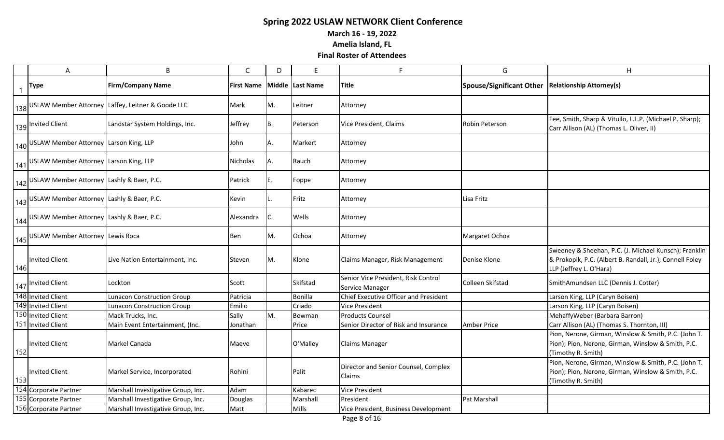**March 16 - 19, 2022**

**Amelia Island, FL**

|              | $\boldsymbol{\mathsf{A}}$                     | B                                                     | $\mathsf{C}$      | D         | E                | Е                                                      | G                        | H                                                                                                                                            |
|--------------|-----------------------------------------------|-------------------------------------------------------|-------------------|-----------|------------------|--------------------------------------------------------|--------------------------|----------------------------------------------------------------------------------------------------------------------------------------------|
| $\mathbf{1}$ | <b>Type</b>                                   | <b>Firm/Company Name</b>                              | <b>First Name</b> |           | Middle Last Name | <b>Title</b>                                           | Spouse/Significant Other | <b>Relationship Attorney(s)</b>                                                                                                              |
|              |                                               | 138 USLAW Member Attorney Laffey, Leitner & Goode LLC | Mark              | М.        | Leitner          | Attorney                                               |                          |                                                                                                                                              |
|              | 139 Invited Client                            | Landstar System Holdings, Inc.                        | Jeffrey           | <b>B.</b> | Peterson         | Vice President, Claims                                 | Robin Peterson           | Fee, Smith, Sharp & Vitullo, L.L.P. (Michael P. Sharp);<br>Carr Allison (AL) (Thomas L. Oliver, II)                                          |
|              | 140 USLAW Member Attorney Larson King, LLP    |                                                       | John              | Α.        | Markert          | Attorney                                               |                          |                                                                                                                                              |
|              | 141 USLAW Member Attorney Larson King, LLP    |                                                       | Nicholas          | Α.        | Rauch            | Attorney                                               |                          |                                                                                                                                              |
|              | 142 USLAW Member Attorney Lashly & Baer, P.C. |                                                       | Patrick           | Е.        | Foppe            | Attorney                                               |                          |                                                                                                                                              |
|              | 143 USLAW Member Attorney Lashly & Baer, P.C. |                                                       | Kevin             |           | Fritz            | Attorney                                               | Lisa Fritz               |                                                                                                                                              |
|              | 144 USLAW Member Attorney Lashly & Baer, P.C. |                                                       | Alexandra         | C.        | Wells            | Attorney                                               |                          |                                                                                                                                              |
|              | 145 USLAW Member Attorney Lewis Roca          |                                                       | Ben               | Μ.        | Ochoa            | Attorney                                               | Margaret Ochoa           |                                                                                                                                              |
| 146          | <b>Invited Client</b>                         | Live Nation Entertainment, Inc.                       | Steven            | М.        | Klone            | Claims Manager, Risk Management                        | Denise Klone             | Sweeney & Sheehan, P.C. (J. Michael Kunsch); Franklin<br>& Prokopik, P.C. (Albert B. Randall, Jr.); Connell Foley<br>LLP (Jeffrey L. O'Hara) |
|              | 147 Invited Client                            | Lockton                                               | Scott             |           | Skifstad         | Senior Vice President, Risk Control<br>Service Manager | Colleen Skifstad         | SmithAmundsen LLC (Dennis J. Cotter)                                                                                                         |
|              | 148 Invited Client                            | <b>Lunacon Construction Group</b>                     | Patricia          |           | Bonilla          | Chief Executive Officer and President                  |                          | Larson King, LLP (Caryn Boisen)                                                                                                              |
|              | 149 Invited Client                            | <b>Lunacon Construction Group</b>                     | Emilio            |           | Criado           | <b>Vice President</b>                                  |                          | Larson King, LLP (Caryn Boisen)                                                                                                              |
|              | 150 Invited Client                            | Mack Trucks, Inc.                                     | Sally             | М.        | Bowman           | <b>Products Counsel</b>                                |                          | MehaffyWeber (Barbara Barron)                                                                                                                |
|              | 151 Invited Client                            | Main Event Entertainment, (Inc.                       | Jonathan          |           | Price            | Senior Director of Risk and Insurance                  | <b>Amber Price</b>       | Carr Allison (AL) (Thomas S. Thornton, III)                                                                                                  |
| 152          | Invited Client                                | Markel Canada                                         | Maeve             |           | O'Malley         | <b>Claims Manager</b>                                  |                          | Pion, Nerone, Girman, Winslow & Smith, P.C. (John T.<br>Pion); Pion, Nerone, Girman, Winslow & Smith, P.C.<br>(Timothy R. Smith)             |
| 153          | Invited Client                                | Markel Service, Incorporated                          | Rohini            |           | Palit            | Director and Senior Counsel, Complex<br><b>Claims</b>  |                          | Pion, Nerone, Girman, Winslow & Smith, P.C. (John T.<br>Pion); Pion, Nerone, Girman, Winslow & Smith, P.C.<br>(Timothy R. Smith)             |
|              | 154 Corporate Partner                         | Marshall Investigative Group, Inc.                    | Adam              |           | Kabarec          | <b>Vice President</b>                                  |                          |                                                                                                                                              |
|              | 155 Corporate Partner                         | Marshall Investigative Group, Inc.                    | Douglas           |           | Marshall         | President                                              | Pat Marshall             |                                                                                                                                              |
|              | 156 Corporate Partner                         | Marshall Investigative Group, Inc.                    | Matt              |           | Mills            | Vice President, Business Development                   |                          |                                                                                                                                              |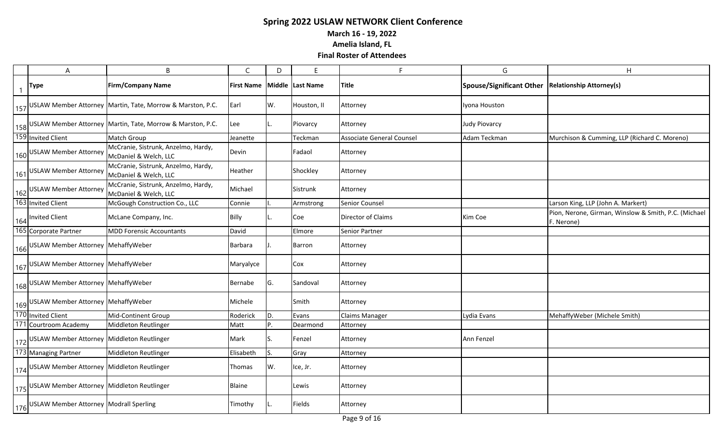**March 16 - 19, 2022**

**Amelia Island, FL**

| A                                                           | B                                                              | C                 | D   | E                | F                                | G                               | H                                                                  |
|-------------------------------------------------------------|----------------------------------------------------------------|-------------------|-----|------------------|----------------------------------|---------------------------------|--------------------------------------------------------------------|
| <b>Type</b>                                                 | <b>Firm/Company Name</b>                                       | <b>First Name</b> |     | Middle Last Name | <b>Title</b>                     | <b>Spouse/Significant Other</b> | <b>Relationship Attorney(s)</b>                                    |
|                                                             | 157 USLAW Member Attorney Martin, Tate, Morrow & Marston, P.C. | Earl              | W.  | Houston, II      | Attorney                         | Iyona Houston                   |                                                                    |
|                                                             | 158 USLAW Member Attorney Martin, Tate, Morrow & Marston, P.C. | Lee               |     | Piovarcy         | Attorney                         | <b>Judy Piovarcy</b>            |                                                                    |
| 159 Invited Client                                          | <b>Match Group</b>                                             | Jeanette          |     | Teckman          | <b>Associate General Counsel</b> | Adam Teckman                    | Murchison & Cumming, LLP (Richard C. Moreno)                       |
| 160 USLAW Member Attorney                                   | McCranie, Sistrunk, Anzelmo, Hardy,<br>McDaniel & Welch, LLC   | Devin             |     | Fadaol           | Attorney                         |                                 |                                                                    |
| 161 USLAW Member Attorney                                   | McCranie, Sistrunk, Anzelmo, Hardy,<br>McDaniel & Welch, LLC   | Heather           |     | Shockley         | Attorney                         |                                 |                                                                    |
| 162 USLAW Member Attorney                                   | McCranie, Sistrunk, Anzelmo, Hardy,<br>McDaniel & Welch, LLC   | Michael           |     | Sistrunk         | Attorney                         |                                 |                                                                    |
| 163 Invited Client                                          | McGough Construction Co., LLC                                  | Connie            |     | Armstrong        | <b>Senior Counsel</b>            |                                 | Larson King, LLP (John A. Markert)                                 |
| 164 Invited Client                                          | McLane Company, Inc.                                           | Billy             |     | Coe              | <b>Director of Claims</b>        | Kim Coe                         | Pion, Nerone, Girman, Winslow & Smith, P.C. (Michael<br>F. Nerone) |
| 165 Corporate Partner                                       | <b>MDD Forensic Accountants</b>                                | David             |     | Elmore           | <b>Senior Partner</b>            |                                 |                                                                    |
| 166 USLAW Member Attorney MehaffyWeber                      |                                                                | Barbara           | IJ. | Barron           | Attorney                         |                                 |                                                                    |
| 167 USLAW Member Attorney MehaffyWeber                      |                                                                | Maryalyce         |     | Cox              | Attorney                         |                                 |                                                                    |
| 168 USLAW Member Attorney MehaffyWeber                      |                                                                | Bernabe           | G.  | Sandoval         | Attorney                         |                                 |                                                                    |
| 169 USLAW Member Attorney MehaffyWeber                      |                                                                | Michele           |     | Smith            | Attorney                         |                                 |                                                                    |
| 170 Invited Client                                          | Mid-Continent Group                                            | Roderick          | I٥. | Evans            | Claims Manager                   | Lydia Evans                     | MehaffyWeber (Michele Smith)                                       |
| 171 Courtroom Academy                                       | Middleton Reutlinger                                           | Matt              | P.  | Dearmond         | Attorney                         |                                 |                                                                    |
| 172 USLAW Member Attorney Middleton Reutlinger              |                                                                | Mark              | IS. | Fenzel           | Attorney                         | Ann Fenzel                      |                                                                    |
| 173 Managing Partner                                        | Middleton Reutlinger                                           | Elisabeth         | IS. | Gray             | Attorney                         |                                 |                                                                    |
| 1 <sub>174</sub> USLAW Member Attorney Middleton Reutlinger |                                                                | Thomas            | W.  | Ice, Jr.         | Attorney                         |                                 |                                                                    |
| 175 USLAW Member Attorney Middleton Reutlinger              |                                                                | <b>Blaine</b>     |     | Lewis            | Attorney                         |                                 |                                                                    |
| 176 USLAW Member Attorney Modrall Sperling                  |                                                                | Timothy           | IL. | Fields           | Attorney                         |                                 |                                                                    |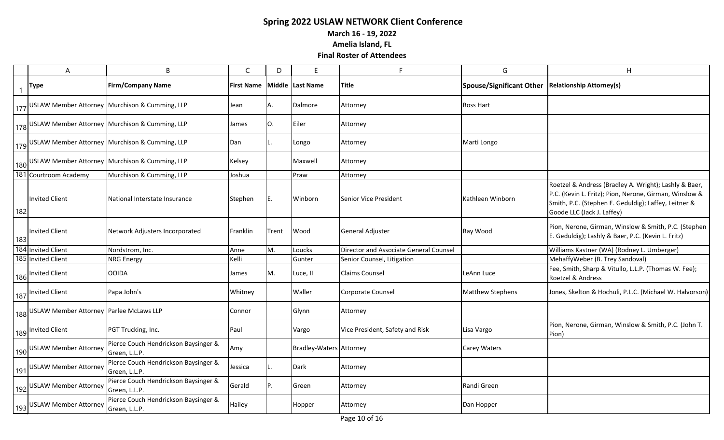**March 16 - 19, 2022**

**Amelia Island, FL**

|              | A                                           | B                                                     | C                 | D     | E                       | E                                      | G                               | H                                                                                                                                                                                                     |
|--------------|---------------------------------------------|-------------------------------------------------------|-------------------|-------|-------------------------|----------------------------------------|---------------------------------|-------------------------------------------------------------------------------------------------------------------------------------------------------------------------------------------------------|
| $\mathbf{1}$ | <b>Type</b>                                 | <b>Firm/Company Name</b>                              | <b>First Name</b> |       | Middle Last Name        | <b>Title</b>                           | <b>Spouse/Significant Other</b> | <b>Relationship Attorney(s)</b>                                                                                                                                                                       |
|              |                                             | 177 USLAW Member Attorney Murchison & Cumming, LLP    | Jean              | Α.    | Dalmore                 | Attorney                               | Ross Hart                       |                                                                                                                                                                                                       |
|              |                                             | 178 USLAW Member Attorney Murchison & Cumming, LLP    | James             | O.    | Eiler                   | Attorney                               |                                 |                                                                                                                                                                                                       |
|              |                                             | 179 USLAW Member Attorney Murchison & Cumming, LLP    | Dan               |       | Longo                   | Attorney                               | Marti Longo                     |                                                                                                                                                                                                       |
|              |                                             | 180 USLAW Member Attorney Murchison & Cumming, LLP    | Kelsey            |       | Maxwell                 | Attorney                               |                                 |                                                                                                                                                                                                       |
|              | 181 Courtroom Academy                       | Murchison & Cumming, LLP                              | Joshua            |       | Praw                    | Attorney                               |                                 |                                                                                                                                                                                                       |
| 182          | Invited Client                              | National Interstate Insurance                         | Stephen           | IE.   | Winborn                 | Senior Vice President                  | Kathleen Winborn                | Roetzel & Andress (Bradley A. Wright); Lashly & Baer,<br>P.C. (Kevin L. Fritz); Pion, Nerone, Girman, Winslow &<br>Smith, P.C. (Stephen E. Geduldig); Laffey, Leitner &<br>Goode LLC (Jack J. Laffey) |
| 183          | Invited Client                              | Network Adjusters Incorporated                        | Franklin          | Trent | Wood                    | General Adjuster                       | Ray Wood                        | Pion, Nerone, Girman, Winslow & Smith, P.C. (Stephen<br>E. Geduldig); Lashly & Baer, P.C. (Kevin L. Fritz)                                                                                            |
|              | 184 Invited Client                          | Nordstrom, Inc.                                       | Anne              | M.    | Loucks                  | Director and Associate General Counsel |                                 | Williams Kastner (WA) (Rodney L. Umberger)                                                                                                                                                            |
|              | 185 Invited Client                          | <b>NRG Energy</b>                                     | Kelli             |       | Gunter                  | Senior Counsel, Litigation             |                                 | MehaffyWeber (B. Trey Sandoval)                                                                                                                                                                       |
|              | 186 Invited Client                          | <b>OOIDA</b>                                          | James             | M.    | Luce, II                | <b>Claims Counsel</b>                  | LeAnn Luce                      | Fee, Smith, Sharp & Vitullo, L.L.P. (Thomas W. Fee);<br>Roetzel & Andress                                                                                                                             |
|              | 187 Invited Client                          | Papa John's                                           | Whitney           |       | Waller                  | Corporate Counsel                      | <b>Matthew Stephens</b>         | Jones, Skelton & Hochuli, P.L.C. (Michael W. Halvorson)                                                                                                                                               |
|              | 188 USLAW Member Attorney Parlee McLaws LLP |                                                       | Connor            |       | Glynn                   | Attorney                               |                                 |                                                                                                                                                                                                       |
|              | 189 Invited Client                          | PGT Trucking, Inc.                                    | Paul              |       | Vargo                   | Vice President, Safety and Risk        | Lisa Vargo                      | Pion, Nerone, Girman, Winslow & Smith, P.C. (John T.<br>Pion)                                                                                                                                         |
|              | 190 USLAW Member Attorney                   | Pierce Couch Hendrickson Baysinger &<br>Green, L.L.P. | Amy               |       | Bradley-Waters Attorney |                                        | <b>Carey Waters</b>             |                                                                                                                                                                                                       |
|              | 191 USLAW Member Attorney                   | Pierce Couch Hendrickson Baysinger &<br>Green, L.L.P. | Jessica           |       | <b>Dark</b>             | Attorney                               |                                 |                                                                                                                                                                                                       |
|              | 192 USLAW Member Attorney                   | Pierce Couch Hendrickson Baysinger &<br>Green, L.L.P. | Gerald            | P.    | Green                   | Attorney                               | Randi Green                     |                                                                                                                                                                                                       |
|              | 193 USLAW Member Attorney                   | Pierce Couch Hendrickson Baysinger &<br>Green, L.L.P. | Hailey            |       | Hopper                  | Attorney                               | Dan Hopper                      |                                                                                                                                                                                                       |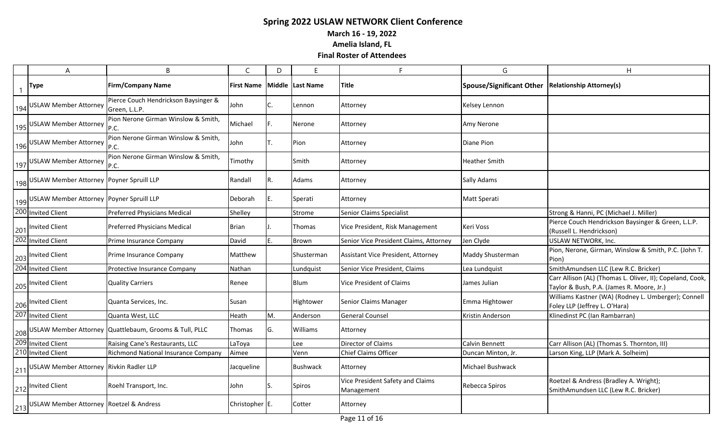**March 16 - 19, 2022**

**Amelia Island, FL**

| A                                                        | B                                                          | $\mathsf{C}$      | D   | F                | F                                              | G                               | H                                                                                                      |
|----------------------------------------------------------|------------------------------------------------------------|-------------------|-----|------------------|------------------------------------------------|---------------------------------|--------------------------------------------------------------------------------------------------------|
| Type                                                     | <b>Firm/Company Name</b>                                   | <b>First Name</b> |     | Middle Last Name | Title                                          | <b>Spouse/Significant Other</b> | <b>Relationship Attorney(s)</b>                                                                        |
| 194 USLAW Member Attorney                                | Pierce Couch Hendrickson Baysinger &<br>Green, L.L.P.      | John              | С.  | Lennon           | Attorney                                       | Kelsey Lennon                   |                                                                                                        |
| 195 USLAW Member Attorney                                | Pion Nerone Girman Winslow & Smith,                        | Michael           | F.  | Nerone           | Attorney                                       | Amy Nerone                      |                                                                                                        |
| 196 USLAW Member Attorney                                | Pion Nerone Girman Winslow & Smith,<br>P.C.                | John              | Т.  | Pion             | Attorney                                       | Diane Pion                      |                                                                                                        |
| 197 USLAW Member Attorney                                | Pion Nerone Girman Winslow & Smith,<br>P.C.                | Timothy           |     | Smith            | Attorney                                       | <b>Heather Smith</b>            |                                                                                                        |
| 198 USLAW Member Attorney Poyner Spruill LLP             |                                                            | Randall           | R.  | Adams            | Attorney                                       | <b>Sally Adams</b>              |                                                                                                        |
| 199 USLAW Member Attorney Poyner Spruill LLP             |                                                            | Deborah           | Ε.  | Sperati          | Attorney                                       | Matt Sperati                    |                                                                                                        |
| 200 Invited Client                                       | <b>Preferred Physicians Medical</b>                        | Shelley           |     | Strome           | <b>Senior Claims Specialist</b>                |                                 | Strong & Hanni, PC (Michael J. Miller)                                                                 |
| 201 Invited Client                                       | <b>Preferred Physicians Medical</b>                        | <b>Brian</b>      |     | Thomas           | Vice President, Risk Management                | Keri Voss                       | Pierce Couch Hendrickson Baysinger & Green, L.L.P.<br>(Russell L. Hendrickson)                         |
| 202 Invited Client                                       | Prime Insurance Company                                    | David             | F.  | Brown            | Senior Vice President Claims, Attorney         | Jen Clyde                       | USLAW NETWORK, Inc.                                                                                    |
| 203 Invited Client                                       | Prime Insurance Company                                    | Matthew           |     | Shusterman       | Assistant Vice President, Attorney             | Maddy Shusterman                | Pion, Nerone, Girman, Winslow & Smith, P.C. (John T.<br>Pion)                                          |
| 204 Invited Client                                       | Protective Insurance Company                               | Nathan            |     | Lundquist        | Senior Vice President, Claims                  | Lea Lundquist                   | SmithAmundsen LLC (Lew R.C. Bricker)                                                                   |
| 205 Invited Client                                       | <b>Quality Carriers</b>                                    | Renee             |     | <b>Blum</b>      | Vice President of Claims                       | James Julian                    | Carr Allison (AL) (Thomas L. Oliver, II); Copeland, Cook,<br>Taylor & Bush, P.A. (James R. Moore, Jr.) |
| 206 Invited Client                                       | Quanta Services, Inc.                                      | Susan             |     | Hightower        | Senior Claims Manager                          | Emma Hightower                  | Williams Kastner (WA) (Rodney L. Umberger); Connell<br>Foley LLP (Jeffrey L. O'Hara)                   |
| 207 Invited Client                                       | Quanta West, LLC                                           | Heath             | М.  | Anderson         | <b>General Counsel</b>                         | Kristin Anderson                | Klinedinst PC (Ian Rambarran)                                                                          |
|                                                          | 208 USLAW Member Attorney Quattlebaum, Grooms & Tull, PLLC | Thomas            | G.  | Williams         | Attorney                                       |                                 |                                                                                                        |
| 209 Invited Client                                       | Raising Cane's Restaurants, LLC                            | LaToya            |     | Lee              | Director of Claims                             | Calvin Bennett                  | Carr Allison (AL) (Thomas S. Thornton, III)                                                            |
| 210 Invited Client                                       | Richmond National Insurance Company                        | Aimee             |     | Venn             | <b>Chief Claims Officer</b>                    | Duncan Minton, Jr.              | Larson King, LLP (Mark A. Solheim)                                                                     |
| 211 USLAW Member Attorney Rivkin Radler LLP              |                                                            | Jacqueline        |     | <b>Bushwack</b>  | Attorney                                       | Michael Bushwack                |                                                                                                        |
| 212 Invited Client                                       | Roehl Transport, Inc.                                      | John              | lS. | Spiros           | Vice President Safety and Claims<br>Management | Rebecca Spiros                  | Roetzel & Andress (Bradley A. Wright);<br>SmithAmundsen LLC (Lew R.C. Bricker)                         |
| 1 <sub>213</sub> USLAW Member Attorney Roetzel & Andress |                                                            | Christopher E.    |     | Cotter           | Attorney                                       |                                 |                                                                                                        |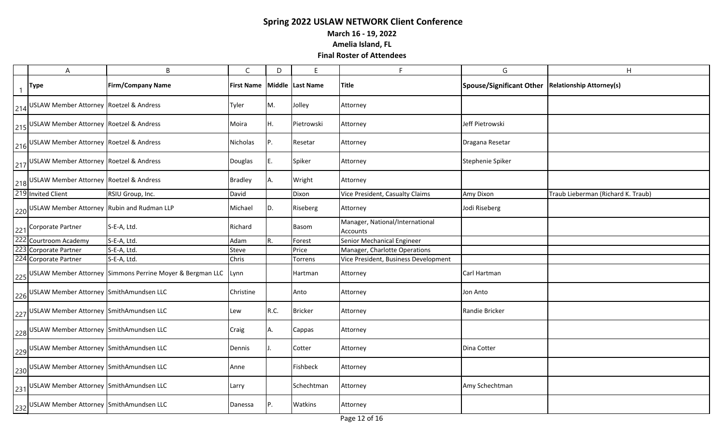**March 16 - 19, 2022**

**Amelia Island, FL**

|                | A                                              | B                                                                  | $\mathsf{C}$      | D    | E                | F                                                  | G                        | H                                  |
|----------------|------------------------------------------------|--------------------------------------------------------------------|-------------------|------|------------------|----------------------------------------------------|--------------------------|------------------------------------|
| $\overline{1}$ | <b>Type</b>                                    | <b>Firm/Company Name</b>                                           | <b>First Name</b> |      | Middle Last Name | Title                                              | Spouse/Significant Other | <b>Relationship Attorney(s)</b>    |
|                | 214 USLAW Member Attorney Roetzel & Andress    |                                                                    | Tyler             | M.   | Jolley           | Attorney                                           |                          |                                    |
|                | 215 USLAW Member Attorney Roetzel & Andress    |                                                                    | Moira             | Н.   | Pietrowski       | Attorney                                           | Jeff Pietrowski          |                                    |
|                | 216 USLAW Member Attorney Roetzel & Andress    |                                                                    | Nicholas          | Ρ.   | Resetar          | Attorney                                           | Dragana Resetar          |                                    |
|                | 217 USLAW Member Attorney Roetzel & Andress    |                                                                    | Douglas           | Ε.   | Spiker           | Attorney                                           | Stephenie Spiker         |                                    |
|                | 218 USLAW Member Attorney Roetzel & Andress    |                                                                    | <b>Bradley</b>    | Α.   | Wright           | Attorney                                           |                          |                                    |
|                | 219 Invited Client                             | RSIU Group, Inc.                                                   | David             |      | Dixon            | Vice President, Casualty Claims                    | Amy Dixon                | Traub Lieberman (Richard K. Traub) |
|                | 220 USLAW Member Attorney Rubin and Rudman LLP |                                                                    | Michael           | D.   | Riseberg         | Attorney                                           | Jodi Riseberg            |                                    |
|                | 221 Corporate Partner                          | S-E-A, Ltd.                                                        | Richard           |      | Basom            | Manager, National/International<br><b>Accounts</b> |                          |                                    |
|                | 222 Courtroom Academy                          | S-E-A, Ltd.                                                        | Adam              | R.   | Forest           | Senior Mechanical Engineer                         |                          |                                    |
|                | 223 Corporate Partner                          | S-E-A, Ltd.                                                        | Steve             |      | Price            | Manager, Charlotte Operations                      |                          |                                    |
|                | 224 Corporate Partner                          | S-E-A, Ltd.                                                        | Chris             |      | Torrens          | Vice President, Business Development               |                          |                                    |
|                |                                                | 225 USLAW Member Attorney Simmons Perrine Moyer & Bergman LLC Lynn |                   |      | Hartman          | Attorney                                           | Carl Hartman             |                                    |
|                | 226 USLAW Member Attorney SmithAmundsen LLC    |                                                                    | Christine         |      | Anto             | Attorney                                           | Jon Anto                 |                                    |
|                | 227 USLAW Member Attorney SmithAmundsen LLC    |                                                                    | Lew               | R.C. | <b>Bricker</b>   | Attorney                                           | Randie Bricker           |                                    |
|                | 228 USLAW Member Attorney SmithAmundsen LLC    |                                                                    | Craig             | Α.   | Cappas           | Attorney                                           |                          |                                    |
|                | 229 USLAW Member Attorney SmithAmundsen LLC    |                                                                    | Dennis            |      | Cotter           | Attorney                                           | Dina Cotter              |                                    |
|                | 230 USLAW Member Attorney SmithAmundsen LLC    |                                                                    | Anne              |      | Fishbeck         | Attorney                                           |                          |                                    |
|                | 231 USLAW Member Attorney SmithAmundsen LLC    |                                                                    | Larry             |      | Schechtman       | Attorney                                           | Amy Schechtman           |                                    |
|                | 232 USLAW Member Attorney SmithAmundsen LLC    |                                                                    | Danessa           | P.   | Watkins          | Attorney                                           |                          |                                    |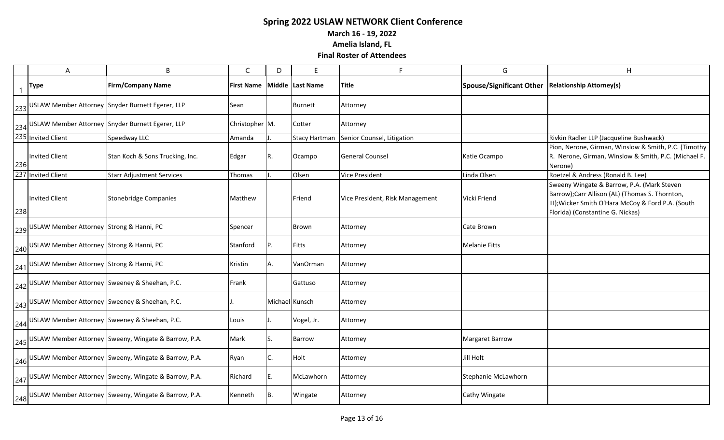**March 16 - 19, 2022**

**Amelia Island, FL**

|     | A                                                 | B                                                        | $\mathsf{C}$      | D              | E                    | F                               | G                        | H                                                                                                                                                                                      |
|-----|---------------------------------------------------|----------------------------------------------------------|-------------------|----------------|----------------------|---------------------------------|--------------------------|----------------------------------------------------------------------------------------------------------------------------------------------------------------------------------------|
|     | <b>Type</b>                                       | <b>Firm/Company Name</b>                                 | <b>First Name</b> |                | Middle Last Name     | <b>Title</b>                    | Spouse/Significant Other | <b>Relationship Attorney(s)</b>                                                                                                                                                        |
|     |                                                   | 233 USLAW Member Attorney Snyder Burnett Egerer, LLP     | Sean              |                | Burnett              | Attorney                        |                          |                                                                                                                                                                                        |
|     |                                                   | 234 USLAW Member Attorney Snyder Burnett Egerer, LLP     | Christopher M.    |                | Cotter               | Attorney                        |                          |                                                                                                                                                                                        |
|     | 235 Invited Client                                | Speedway LLC                                             | Amanda            |                | <b>Stacy Hartman</b> | Senior Counsel, Litigation      |                          | Rivkin Radler LLP (Jacqueline Bushwack)                                                                                                                                                |
| 236 | <b>Invited Client</b>                             | Stan Koch & Sons Trucking, Inc.                          | Edgar             | R.             | Ocampo               | <b>General Counsel</b>          | Katie Ocampo             | Pion, Nerone, Girman, Winslow & Smith, P.C. (Timothy<br>R. Nerone, Girman, Winslow & Smith, P.C. (Michael F.<br>Nerone)                                                                |
|     | 237 Invited Client                                | <b>Starr Adjustment Services</b>                         | Thomas            |                | Olsen                | <b>Vice President</b>           | Linda Olsen              | Roetzel & Andress (Ronald B. Lee)                                                                                                                                                      |
| 238 | Invited Client                                    | Stonebridge Companies                                    | Matthew           |                | Friend               | Vice President, Risk Management | Vicki Friend             | Sweeny Wingate & Barrow, P.A. (Mark Steven<br>Barrow);Carr Allison (AL) (Thomas S. Thornton,<br>III); Wicker Smith O'Hara McCoy & Ford P.A. (South<br>Florida) (Constantine G. Nickas) |
|     | 239 USLAW Member Attorney Strong & Hanni, PC      |                                                          | Spencer           |                | Brown                | Attorney                        | Cate Brown               |                                                                                                                                                                                        |
|     | 240 USLAW Member Attorney Strong & Hanni, PC      |                                                          | Stanford          | P.             | Fitts                | Attorney                        | <b>Melanie Fitts</b>     |                                                                                                                                                                                        |
|     | 241 USLAW Member Attorney Strong & Hanni, PC      |                                                          | Kristin           | Α.             | VanOrman             | Attorney                        |                          |                                                                                                                                                                                        |
|     | 242 USLAW Member Attorney Sweeney & Sheehan, P.C. |                                                          | Frank             |                | Gattuso              | Attorney                        |                          |                                                                                                                                                                                        |
|     | 243 USLAW Member Attorney Sweeney & Sheehan, P.C. |                                                          |                   | Michael Kunsch |                      | Attorney                        |                          |                                                                                                                                                                                        |
|     | 244 USLAW Member Attorney Sweeney & Sheehan, P.C. |                                                          | Louis             |                | Vogel, Jr.           | Attorney                        |                          |                                                                                                                                                                                        |
|     |                                                   | 245 USLAW Member Attorney Sweeny, Wingate & Barrow, P.A. | Mark              | S.             | Barrow               | Attorney                        | <b>Margaret Barrow</b>   |                                                                                                                                                                                        |
|     |                                                   | 246 USLAW Member Attorney Sweeny, Wingate & Barrow, P.A. | Ryan              | C.             | Holt                 | Attorney                        | <b>Jill Holt</b>         |                                                                                                                                                                                        |
|     |                                                   | 247 USLAW Member Attorney Sweeny, Wingate & Barrow, P.A. | Richard           | E.             | McLawhorn            | Attorney                        | Stephanie McLawhorn      |                                                                                                                                                                                        |
|     |                                                   | 248 USLAW Member Attorney Sweeny, Wingate & Barrow, P.A. | Kenneth           | B.             | Wingate              | Attorney                        | <b>Cathy Wingate</b>     |                                                                                                                                                                                        |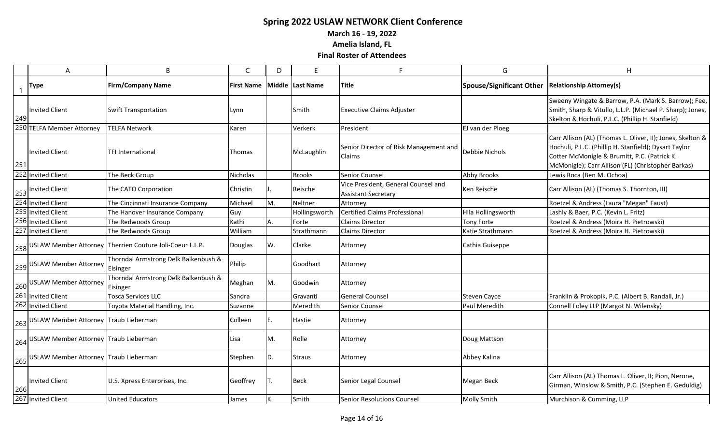**March 16 - 19, 2022**

**Amelia Island, FL**

|     | A                                                     | B                                                            | C                 | D   | F                | Е                                                                 | G                               | H                                                                                                                                                                                                                         |
|-----|-------------------------------------------------------|--------------------------------------------------------------|-------------------|-----|------------------|-------------------------------------------------------------------|---------------------------------|---------------------------------------------------------------------------------------------------------------------------------------------------------------------------------------------------------------------------|
|     | <b>Type</b>                                           | <b>Firm/Company Name</b>                                     | <b>First Name</b> |     | Middle Last Name | <b>Title</b>                                                      | <b>Spouse/Significant Other</b> | <b>Relationship Attorney(s)</b>                                                                                                                                                                                           |
| 249 | <b>Invited Client</b>                                 | <b>Swift Transportation</b>                                  | Lynn              |     | Smith            | <b>Executive Claims Adjuster</b>                                  |                                 | Sweeny Wingate & Barrow, P.A. (Mark S. Barrow); Fee,<br>Smith, Sharp & Vitullo, L.L.P. (Michael P. Sharp); Jones,<br>Skelton & Hochuli, P.L.C. (Phillip H. Stanfield)                                                     |
|     | 250 TELFA Member Attorney                             | <b>TELFA Network</b>                                         | Karen             |     | Verkerk          | President                                                         | EJ van der Ploeg                |                                                                                                                                                                                                                           |
| 251 | Invited Client                                        | <b>TFI International</b>                                     | Thomas            |     | McLaughlin       | Senior Director of Risk Management and<br>Claims                  | Debbie Nichols                  | Carr Allison (AL) (Thomas L. Oliver, II); Jones, Skelton &<br>Hochuli, P.L.C. (Phillip H. Stanfield); Dysart Taylor<br>Cotter McMonigle & Brumitt, P.C. (Patrick K.<br>McMonigle); Carr Allison (FL) (Christopher Barkas) |
|     | 252 Invited Client                                    | The Beck Group                                               | Nicholas          |     | <b>Brooks</b>    | Senior Counsel                                                    | Abby Brooks                     | Lewis Roca (Ben M. Ochoa)                                                                                                                                                                                                 |
|     | 253 Invited Client                                    | The CATO Corporation                                         | Christin          |     | Reische          | Vice President, General Counsel and<br><b>Assistant Secretary</b> | Ken Reische                     | Carr Allison (AL) (Thomas S. Thornton, III)                                                                                                                                                                               |
|     | 254 Invited Client                                    | The Cincinnati Insurance Company                             | Michael           | M.  | Neltner          | Attorney                                                          |                                 | Roetzel & Andress (Laura "Megan" Faust)                                                                                                                                                                                   |
|     | 255 Invited Client                                    | The Hanover Insurance Company                                | Guy               |     | Hollingsworth    | <b>Certified Claims Professional</b>                              | Hila Hollingsworth              | Lashly & Baer, P.C. (Kevin L. Fritz)                                                                                                                                                                                      |
|     | 256 Invited Client                                    | The Redwoods Group                                           | Kathi             | A.  | Forte            | <b>Claims Director</b>                                            | <b>Tony Forte</b>               | Roetzel & Andress (Moira H. Pietrowski)                                                                                                                                                                                   |
|     | 257 Invited Client                                    | The Redwoods Group                                           | William           |     | Strathmann       | <b>Claims Director</b>                                            | Katie Strathmann                | Roetzel & Andress (Moira H. Pietrowski)                                                                                                                                                                                   |
|     |                                                       | 258 USLAW Member Attorney Therrien Couture Joli-Coeur L.L.P. | Douglas           | W.  | Clarke           | Attorney                                                          | Cathia Guiseppe                 |                                                                                                                                                                                                                           |
|     | 259 USLAW Member Attorney                             | Thorndal Armstrong Delk Balkenbush &<br>Eisinger             | Philip            |     | Goodhart         | Attorney                                                          |                                 |                                                                                                                                                                                                                           |
|     | 260 USLAW Member Attorney                             | Thorndal Armstrong Delk Balkenbush &<br>Eisinger             | Meghan            | M.  | Goodwin          | Attorney                                                          |                                 |                                                                                                                                                                                                                           |
|     | 261 Invited Client                                    | <b>Tosca Services LLC</b>                                    | Sandra            |     | Gravanti         | <b>General Counsel</b>                                            | <b>Steven Cayce</b>             | Franklin & Prokopik, P.C. (Albert B. Randall, Jr.)                                                                                                                                                                        |
|     | 262 Invited Client                                    | Toyota Material Handling, Inc.                               | Suzanne           |     | Meredith         | Senior Counsel                                                    | Paul Meredith                   | Connell Foley LLP (Margot N. Wilensky)                                                                                                                                                                                    |
|     | $ 263 $ USLAW Member Attorney Traub Lieberman         |                                                              | Colleen           | IE. | <b>Hastie</b>    | Attorney                                                          |                                 |                                                                                                                                                                                                                           |
|     | 264 USLAW Member Attorney Traub Lieberman             |                                                              | Lisa              | M.  | Rolle            | Attorney                                                          | Doug Mattson                    |                                                                                                                                                                                                                           |
|     | $\frac{1}{265}$ USLAW Member Attorney Traub Lieberman |                                                              | Stephen           | ID. | <b>Straus</b>    | Attorney                                                          | Abbey Kalina                    |                                                                                                                                                                                                                           |
| 266 | <b>Invited Client</b>                                 | U.S. Xpress Enterprises, Inc.                                | Geoffrey          |     | Beck             | Senior Legal Counsel                                              | Megan Beck                      | Carr Allison (AL) Thomas L. Oliver, II; Pion, Nerone,<br>Girman, Winslow & Smith, P.C. (Stephen E. Geduldig)                                                                                                              |
|     | 267 Invited Client                                    | <b>United Educators</b>                                      | James             | K.  | Smith            | <b>Senior Resolutions Counsel</b>                                 | <b>Molly Smith</b>              | Murchison & Cumming, LLP                                                                                                                                                                                                  |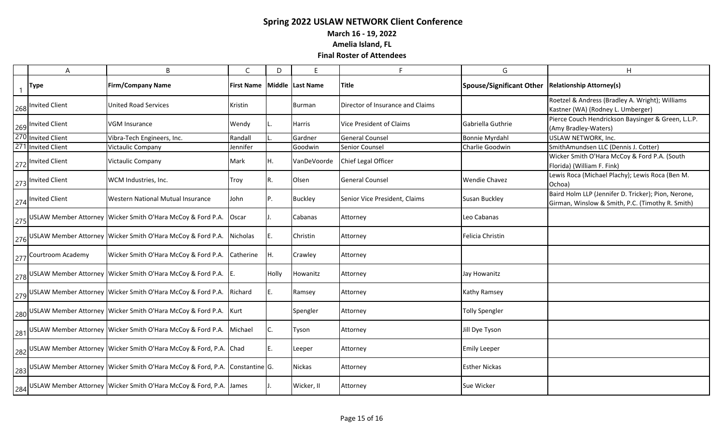**March 16 - 19, 2022**

**Amelia Island, FL**

| A                     | B                                                                                      | C                 | D     | F                        | F                                | G                               | H                                                                                                       |
|-----------------------|----------------------------------------------------------------------------------------|-------------------|-------|--------------------------|----------------------------------|---------------------------------|---------------------------------------------------------------------------------------------------------|
| Type                  | <b>Firm/Company Name</b>                                                               | <b>First Name</b> |       | <b>Middle  Last Name</b> | <b>Title</b>                     | <b>Spouse/Significant Other</b> | <b>Relationship Attorney(s)</b>                                                                         |
| 268 Invited Client    | <b>United Road Services</b>                                                            | Kristin           |       | Burman                   | Director of Insurance and Claims |                                 | Roetzel & Andress (Bradley A. Wright); Williams<br>Kastner (WA) (Rodney L. Umberger)                    |
| 269 Invited Client    | <b>VGM Insurance</b>                                                                   | Wendy             |       | Harris                   | Vice President of Claims         | Gabriella Guthrie               | Pierce Couch Hendrickson Baysinger & Green, L.L.P.<br>(Amy Bradley-Waters)                              |
| 270 Invited Client    | Vibra-Tech Engineers, Inc.                                                             | Randall           |       | Gardner                  | <b>General Counsel</b>           | <b>Bonnie Myrdahl</b>           | USLAW NETWORK, Inc.                                                                                     |
| 271 Invited Client    | <b>Victaulic Company</b>                                                               | Jennifer          |       | Goodwin                  | Senior Counsel                   | Charlie Goodwin                 | SmithAmundsen LLC (Dennis J. Cotter)                                                                    |
| 272 Invited Client    | <b>Victaulic Company</b>                                                               | Mark              | Η.    | VanDeVoorde              | Chief Legal Officer              |                                 | Wicker Smith O'Hara McCoy & Ford P.A. (South<br>Florida) (William F. Fink)                              |
| 273 Invited Client    | WCM Industries, Inc.                                                                   | Troy              | R.    | <b>Olsen</b>             | <b>General Counsel</b>           | <b>Wendie Chavez</b>            | Lewis Roca (Michael Plachy); Lewis Roca (Ben M.<br>Ochoa)                                               |
| 274 Invited Client    | Western National Mutual Insurance                                                      | John              | Ρ.    | <b>Buckley</b>           | Senior Vice President, Claims    | Susan Buckley                   | Baird Holm LLP (Jennifer D. Tricker); Pion, Nerone,<br>Girman, Winslow & Smith, P.C. (Timothy R. Smith) |
|                       | 275 USLAW Member Attorney Wicker Smith O'Hara McCoy & Ford P.A.                        | Oscar             |       | Cabanas                  | Attorney                         | Leo Cabanas                     |                                                                                                         |
|                       | 276 USLAW Member Attorney   Wicker Smith O'Hara McCoy & Ford P.A.                      | Nicholas          | Ε.    | Christin                 | Attorney                         | Felicia Christin                |                                                                                                         |
| 277 Courtroom Academy | Wicker Smith O'Hara McCoy & Ford P.A.                                                  | Catherine         | Η.    | Crawley                  | Attorney                         |                                 |                                                                                                         |
|                       | $\frac{1}{278}$ USLAW Member Attorney Wicker Smith O'Hara McCoy & Ford P.A. $\vert$ E. |                   | Holly | Howanitz                 | Attorney                         | Jay Howanitz                    |                                                                                                         |
|                       | 279 USLAW Member Attorney Wicker Smith O'Hara McCoy & Ford P.A.                        | Richard           | Ε.    | Ramsey                   | Attorney                         | Kathy Ramsey                    |                                                                                                         |
|                       | 280 USLAW Member Attorney Wicker Smith O'Hara McCoy & Ford P.A. Kurt                   |                   |       | Spengler                 | Attorney                         | <b>Tolly Spengler</b>           |                                                                                                         |
|                       | 281 USLAW Member Attorney Wicker Smith O'Hara McCoy & Ford P.A.                        | Michael           | C.    | Tyson                    | Attorney                         | Jill Dye Tyson                  |                                                                                                         |
|                       | $\frac{1}{282}$ USLAW Member Attorney Wicker Smith O'Hara McCoy & Ford, P.A. Chad      |                   |       | Leeper                   | Attorney                         | <b>Emily Leeper</b>             |                                                                                                         |
|                       | 283 USLAW Member Attorney Wicker Smith O'Hara McCoy & Ford, P.A. Constantine G.        |                   |       | Nickas                   | Attorney                         | <b>Esther Nickas</b>            |                                                                                                         |
|                       | 284 USLAW Member Attorney Wicker Smith O'Hara McCoy & Ford, P.A. James                 |                   |       | Wicker, II               | Attorney                         | Sue Wicker                      |                                                                                                         |